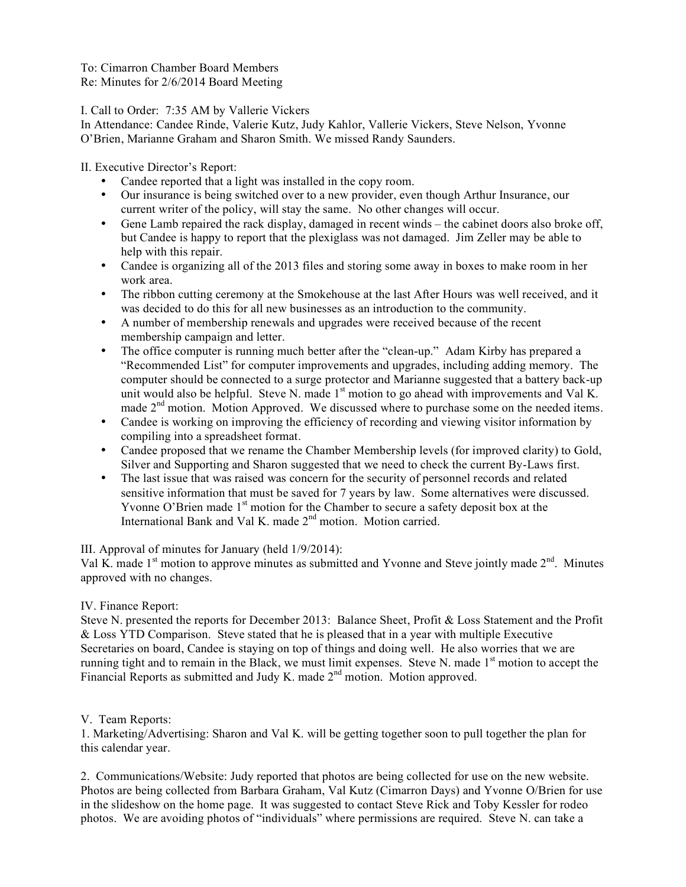# To: Cimarron Chamber Board Members

Re: Minutes for 2/6/2014 Board Meeting

I. Call to Order: 7:35 AM by Vallerie Vickers

In Attendance: Candee Rinde, Valerie Kutz, Judy Kahlor, Vallerie Vickers, Steve Nelson, Yvonne O'Brien, Marianne Graham and Sharon Smith. We missed Randy Saunders.

II. Executive Director's Report:

- Candee reported that a light was installed in the copy room.
- Our insurance is being switched over to a new provider, even though Arthur Insurance, our current writer of the policy, will stay the same. No other changes will occur.
- Gene Lamb repaired the rack display, damaged in recent winds the cabinet doors also broke off, but Candee is happy to report that the plexiglass was not damaged. Jim Zeller may be able to help with this repair.
- Candee is organizing all of the 2013 files and storing some away in boxes to make room in her work area.
- The ribbon cutting ceremony at the Smokehouse at the last After Hours was well received, and it was decided to do this for all new businesses as an introduction to the community.
- A number of membership renewals and upgrades were received because of the recent membership campaign and letter.
- The office computer is running much better after the "clean-up." Adam Kirby has prepared a "Recommended List" for computer improvements and upgrades, including adding memory. The computer should be connected to a surge protector and Marianne suggested that a battery back-up unit would also be helpful. Steve N. made  $1<sup>st</sup>$  motion to go ahead with improvements and Val K. made 2<sup>nd</sup> motion. Motion Approved. We discussed where to purchase some on the needed items.
- Candee is working on improving the efficiency of recording and viewing visitor information by compiling into a spreadsheet format.
- Candee proposed that we rename the Chamber Membership levels (for improved clarity) to Gold, Silver and Supporting and Sharon suggested that we need to check the current By-Laws first.
- The last issue that was raised was concern for the security of personnel records and related sensitive information that must be saved for 7 years by law. Some alternatives were discussed. Yvonne O'Brien made  $1<sup>st</sup>$  motion for the Chamber to secure a safety deposit box at the International Bank and Val K. made  $2<sup>nd</sup>$  motion. Motion carried.

# III. Approval of minutes for January (held 1/9/2014):

Val K. made  $1<sup>st</sup>$  motion to approve minutes as submitted and Yvonne and Steve jointly made  $2<sup>nd</sup>$ . Minutes approved with no changes.

### IV. Finance Report:

Steve N. presented the reports for December 2013: Balance Sheet, Profit & Loss Statement and the Profit & Loss YTD Comparison. Steve stated that he is pleased that in a year with multiple Executive Secretaries on board, Candee is staying on top of things and doing well. He also worries that we are running tight and to remain in the Black, we must limit expenses. Steve N. made  $1<sup>st</sup>$  motion to accept the Financial Reports as submitted and Judy K. made 2<sup>nd</sup> motion. Motion approved.

### V. Team Reports:

1. Marketing/Advertising: Sharon and Val K. will be getting together soon to pull together the plan for this calendar year.

2. Communications/Website: Judy reported that photos are being collected for use on the new website. Photos are being collected from Barbara Graham, Val Kutz (Cimarron Days) and Yvonne O/Brien for use in the slideshow on the home page. It was suggested to contact Steve Rick and Toby Kessler for rodeo photos. We are avoiding photos of "individuals" where permissions are required. Steve N. can take a